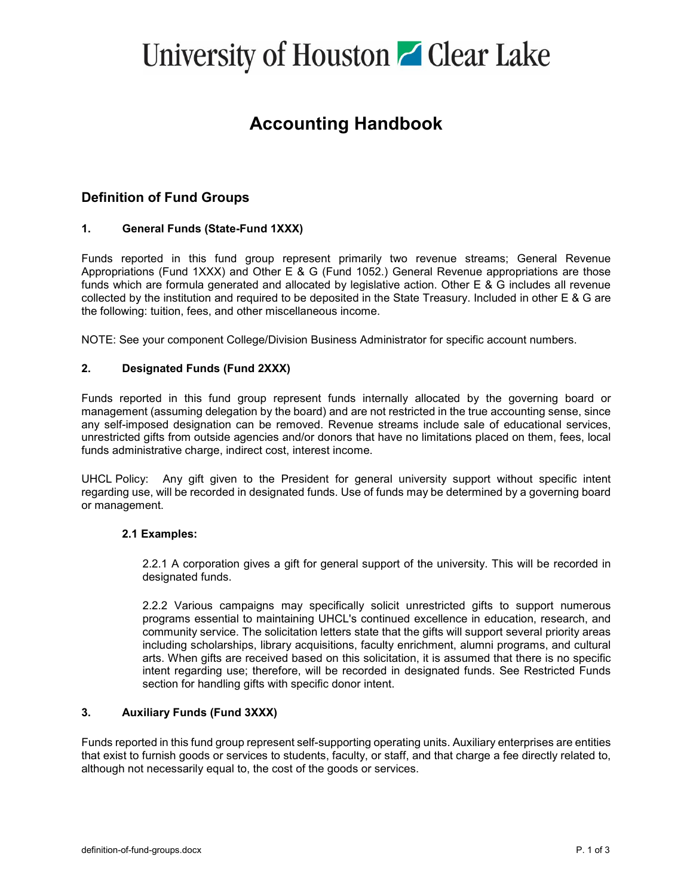# University of Houston **C** Clear Lake

## **Accounting Handbook**

## **Definition of Fund Groups**

### **1. General Funds (State-Fund 1XXX)**

Funds reported in this fund group represent primarily two revenue streams; General Revenue Appropriations (Fund 1XXX) and Other E & G (Fund 1052.) General Revenue appropriations are those funds which are formula generated and allocated by legislative action. Other E & G includes all revenue collected by the institution and required to be deposited in the State Treasury. Included in other E & G are the following: tuition, fees, and other miscellaneous income.

NOTE: See your component College/Division Business Administrator for specific account numbers.

### **2. Designated Funds (Fund 2XXX)**

Funds reported in this fund group represent funds internally allocated by the governing board or management (assuming delegation by the board) and are not restricted in the true accounting sense, since any self-imposed designation can be removed. Revenue streams include sale of educational services, unrestricted gifts from outside agencies and/or donors that have no limitations placed on them, fees, local funds administrative charge, indirect cost, interest income.

UHCL Policy: Any gift given to the President for general university support without specific intent regarding use, will be recorded in designated funds. Use of funds may be determined by a governing board or management.

### **2.1 Examples:**

2.2.1 A corporation gives a gift for general support of the university. This will be recorded in designated funds.

2.2.2 Various campaigns may specifically solicit unrestricted gifts to support numerous programs essential to maintaining UHCL's continued excellence in education, research, and community service. The solicitation letters state that the gifts will support several priority areas including scholarships, library acquisitions, faculty enrichment, alumni programs, and cultural arts. When gifts are received based on this solicitation, it is assumed that there is no specific intent regarding use; therefore, will be recorded in designated funds. See Restricted Funds section for handling gifts with specific donor intent.

### **3. Auxiliary Funds (Fund 3XXX)**

Funds reported in this fund group represent self-supporting operating units. Auxiliary enterprises are entities that exist to furnish goods or services to students, faculty, or staff, and that charge a fee directly related to, although not necessarily equal to, the cost of the goods or services.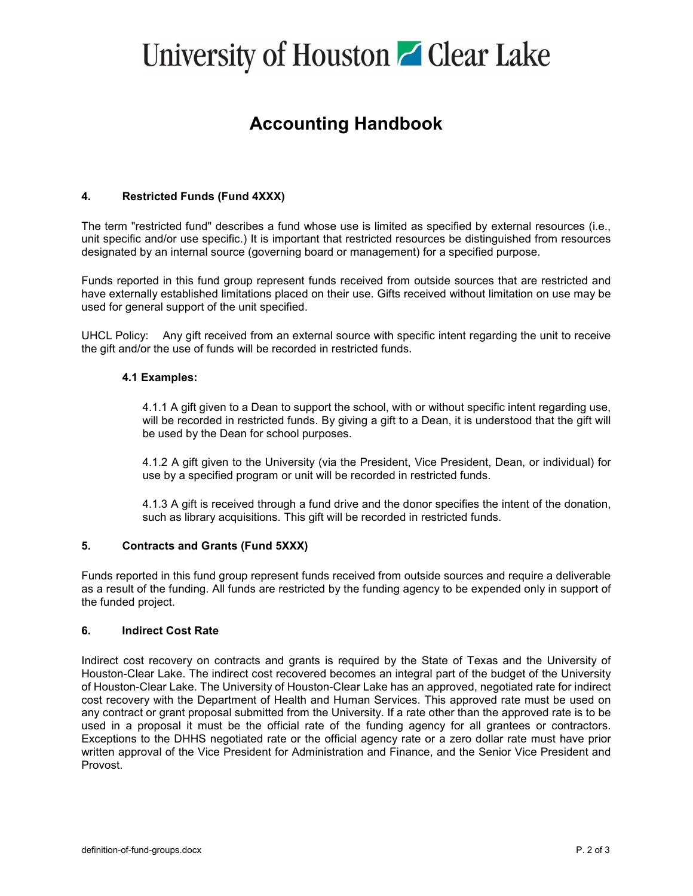# University of Houston **C** Clear Lake

## **Accounting Handbook**

### **4. Restricted Funds (Fund 4XXX)**

The term "restricted fund" describes a fund whose use is limited as specified by external resources (i.e., unit specific and/or use specific.) It is important that restricted resources be distinguished from resources designated by an internal source (governing board or management) for a specified purpose.

Funds reported in this fund group represent funds received from outside sources that are restricted and have externally established limitations placed on their use. Gifts received without limitation on use may be used for general support of the unit specified.

UHCL Policy: Any gift received from an external source with specific intent regarding the unit to receive the gift and/or the use of funds will be recorded in restricted funds.

#### **4.1 Examples:**

4.1.1 A gift given to a Dean to support the school, with or without specific intent regarding use, will be recorded in restricted funds. By giving a gift to a Dean, it is understood that the gift will be used by the Dean for school purposes.

4.1.2 A gift given to the University (via the President, Vice President, Dean, or individual) for use by a specified program or unit will be recorded in restricted funds.

4.1.3 A gift is received through a fund drive and the donor specifies the intent of the donation, such as library acquisitions. This gift will be recorded in restricted funds.

#### **5. Contracts and Grants (Fund 5XXX)**

Funds reported in this fund group represent funds received from outside sources and require a deliverable as a result of the funding. All funds are restricted by the funding agency to be expended only in support of the funded project.

#### **6. Indirect Cost Rate**

Indirect cost recovery on contracts and grants is required by the State of Texas and the University of Houston-Clear Lake. The indirect cost recovered becomes an integral part of the budget of the University of Houston-Clear Lake. The University of Houston-Clear Lake has an approved, negotiated rate for indirect cost recovery with the Department of Health and Human Services. This approved rate must be used on any contract or grant proposal submitted from the University. If a rate other than the approved rate is to be used in a proposal it must be the official rate of the funding agency for all grantees or contractors. Exceptions to the DHHS negotiated rate or the official agency rate or a zero dollar rate must have prior written approval of the Vice President for Administration and Finance, and the Senior Vice President and Provost.